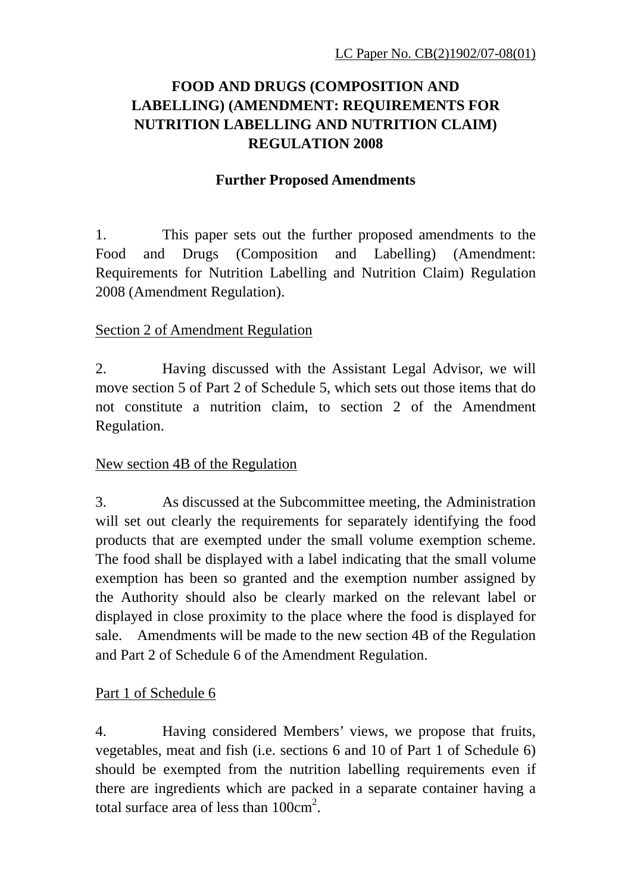## **FOOD AND DRUGS (COMPOSITION AND LABELLING) (AMENDMENT: REQUIREMENTS FOR NUTRITION LABELLING AND NUTRITION CLAIM) REGULATION 2008**

## **Further Proposed Amendments**

1. This paper sets out the further proposed amendments to the Food and Drugs (Composition and Labelling) (Amendment: Requirements for Nutrition Labelling and Nutrition Claim) Regulation 2008 (Amendment Regulation).

## Section 2 of Amendment Regulation

2. Having discussed with the Assistant Legal Advisor, we will move section 5 of Part 2 of Schedule 5, which sets out those items that do not constitute a nutrition claim, to section 2 of the Amendment Regulation.

## New section 4B of the Regulation

3. As discussed at the Subcommittee meeting, the Administration will set out clearly the requirements for separately identifying the food products that are exempted under the small volume exemption scheme. The food shall be displayed with a label indicating that the small volume exemption has been so granted and the exemption number assigned by the Authority should also be clearly marked on the relevant label or displayed in close proximity to the place where the food is displayed for sale. Amendments will be made to the new section 4B of the Regulation and Part 2 of Schedule 6 of the Amendment Regulation.

## Part 1 of Schedule 6

4. Having considered Members' views, we propose that fruits, vegetables, meat and fish (i.e. sections 6 and 10 of Part 1 of Schedule 6) should be exempted from the nutrition labelling requirements even if there are ingredients which are packed in a separate container having a total surface area of less than  $100 \text{cm}^2$ .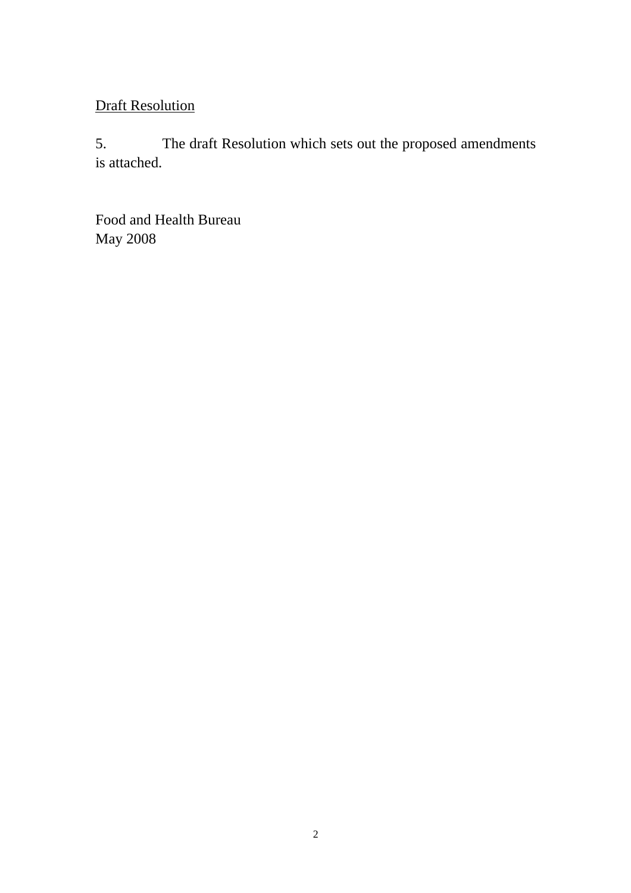# Draft Resolution

5. The draft Resolution which sets out the proposed amendments is attached.

Food and Health Bureau May 2008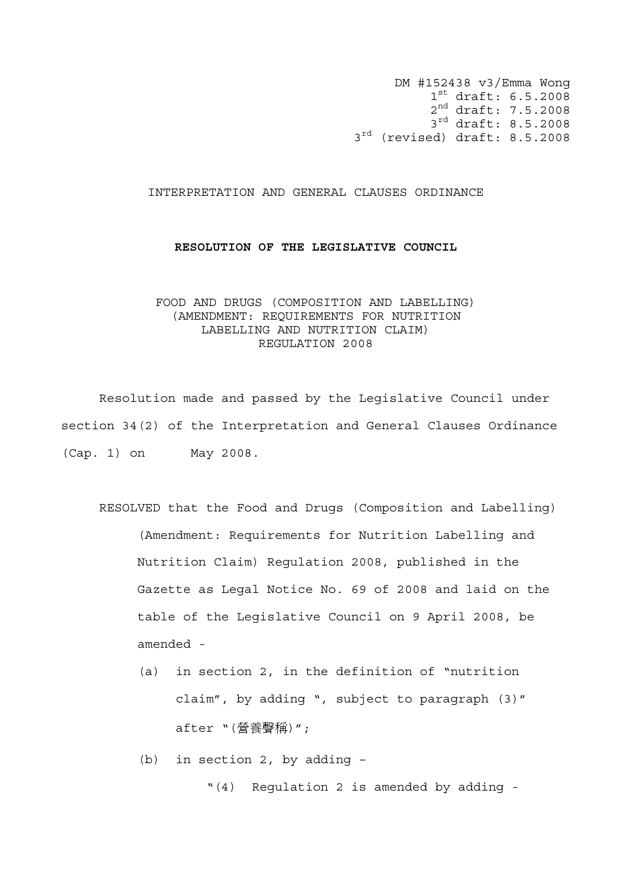DM #152438 v3/Emma Wong 1st draft: 6.5.2008 2nd draft: 7.5.2008 3<sup>rd</sup> draft: 8.5.2008 3<sup>rd</sup> (revised) draft: 8.5.2008

#### INTERPRETATION AND GENERAL CLAUSES ORDINANCE

#### **RESOLUTION OF THE LEGISLATIVE COUNCIL**

### FOOD AND DRUGS (COMPOSITION AND LABELLING) (AMENDMENT: REQUIREMENTS FOR NUTRITION LABELLING AND NUTRITION CLAIM) REGULATION 2008

 Resolution made and passed by the Legislative Council under section 34(2) of the Interpretation and General Clauses Ordinance (Cap. 1) on May 2008.

- RESOLVED that the Food and Drugs (Composition and Labelling) (Amendment: Requirements for Nutrition Labelling and Nutrition Claim) Regulation 2008, published in the Gazette as Legal Notice No. 69 of 2008 and laid on the table of the Legislative Council on 9 April 2008, be amended -
	- (a) in section 2, in the definition of "nutrition claim", by adding ", subject to paragraph (3)" after "(營養聲稱)";

(b) in section 2, by adding –

"(4) Regulation 2 is amended by adding -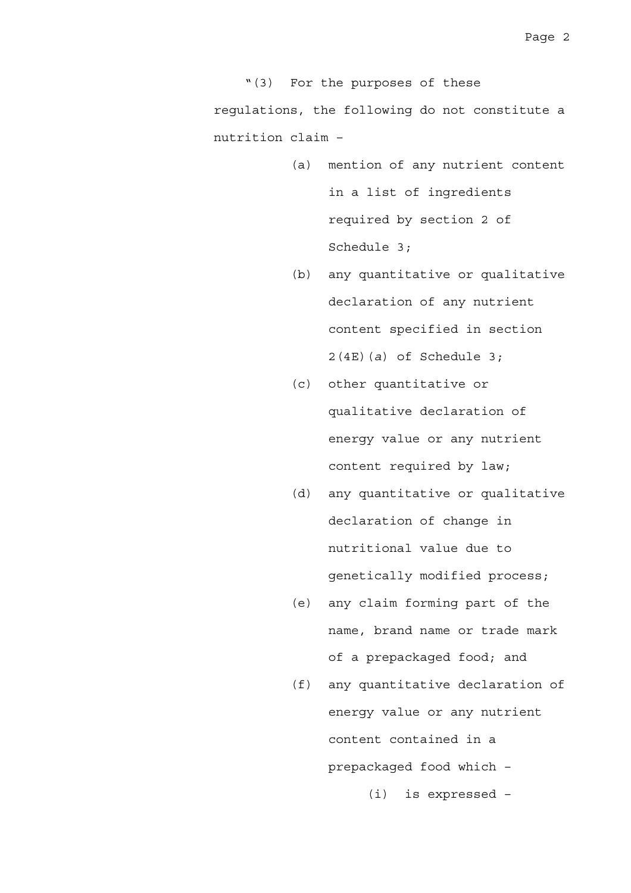"(3) For the purposes of these regulations, the following do not constitute a nutrition claim –

- (a) mention of any nutrient content in a list of ingredients required by section 2 of Schedule 3;
- (b) any quantitative or qualitative declaration of any nutrient content specified in section 2(4E)(*a*) of Schedule 3;
- (c) other quantitative or qualitative declaration of energy value or any nutrient content required by law;
- (d) any quantitative or qualitative declaration of change in nutritional value due to genetically modified process;
- (e) any claim forming part of the name, brand name or trade mark of a prepackaged food; and
- (f) any quantitative declaration of energy value or any nutrient content contained in a prepackaged food which –

(i) is expressed –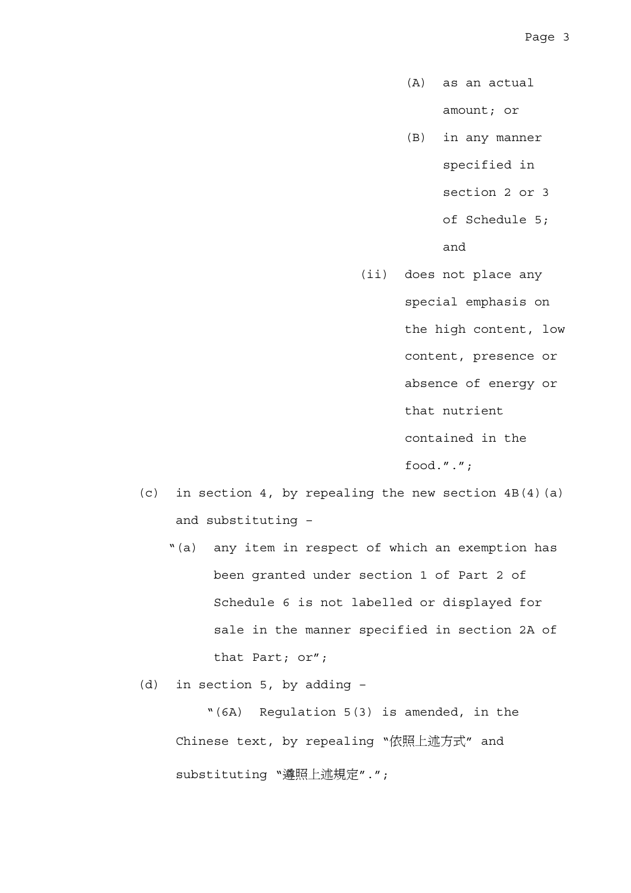- (A) as an actual amount; or
- (B) in any manner specified in section 2 or 3

of Schedule 5;

and

(ii) does not place any

special emphasis on

the high content, low

content, presence or

absence of energy or

that nutrient

contained in the

food.".";

- (c) in section 4, by repealing the new section  $4B(4)(a)$ and substituting –
	- "(a) any item in respect of which an exemption has been granted under section 1 of Part 2 of Schedule 6 is not labelled or displayed for sale in the manner specified in section 2A of that Part; or";
- (d) in section 5, by adding –

"(6A) Regulation 5(3) is amended, in the Chinese text, by repealing "依照上述方式" and substituting "遵照上述規定".";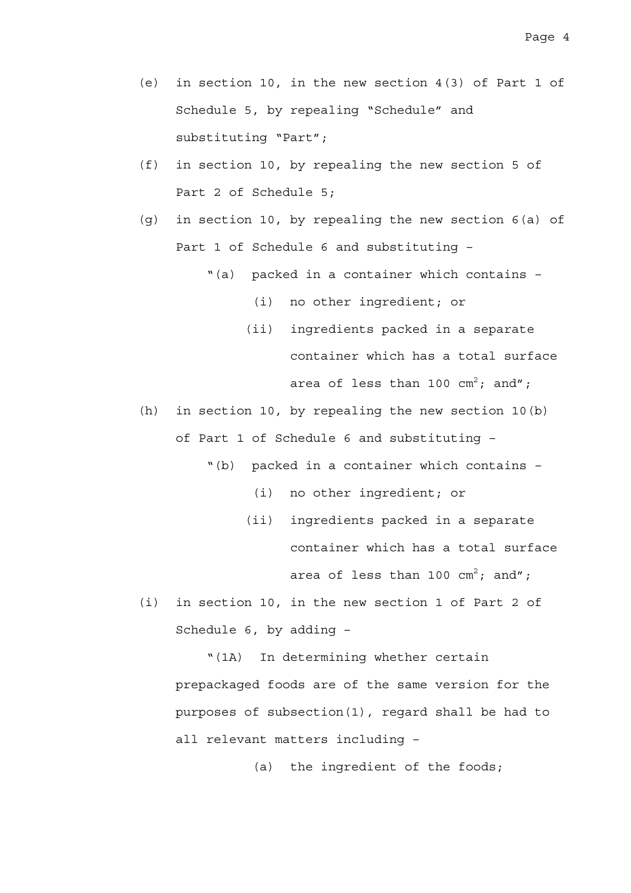- (e) in section 10, in the new section 4(3) of Part 1 of Schedule 5, by repealing "Schedule" and substituting "Part";
- (f) in section 10, by repealing the new section 5 of Part 2 of Schedule 5;
- (g) in section 10, by repealing the new section 6(a) of Part 1 of Schedule 6 and substituting –
	- "(a) packed in a container which contains
		- (i) no other ingredient; or
		- (ii) ingredients packed in a separate container which has a total surface area of less than 100  $\textsf{cm}^2\!\!:$  and";
- (h) in section 10, by repealing the new section 10(b) of Part 1 of Schedule 6 and substituting –
	- "(b) packed in a container which contains
		- (i) no other ingredient; or
		- (ii) ingredients packed in a separate container which has a total surface area of less than 100  $\textsf{cm}^2\textsf{;}$  and";
- (i) in section 10, in the new section 1 of Part 2 of Schedule 6, by adding –

"(1A) In determining whether certain prepackaged foods are of the same version for the purposes of subsection(1), regard shall be had to all relevant matters including –

(a) the ingredient of the foods;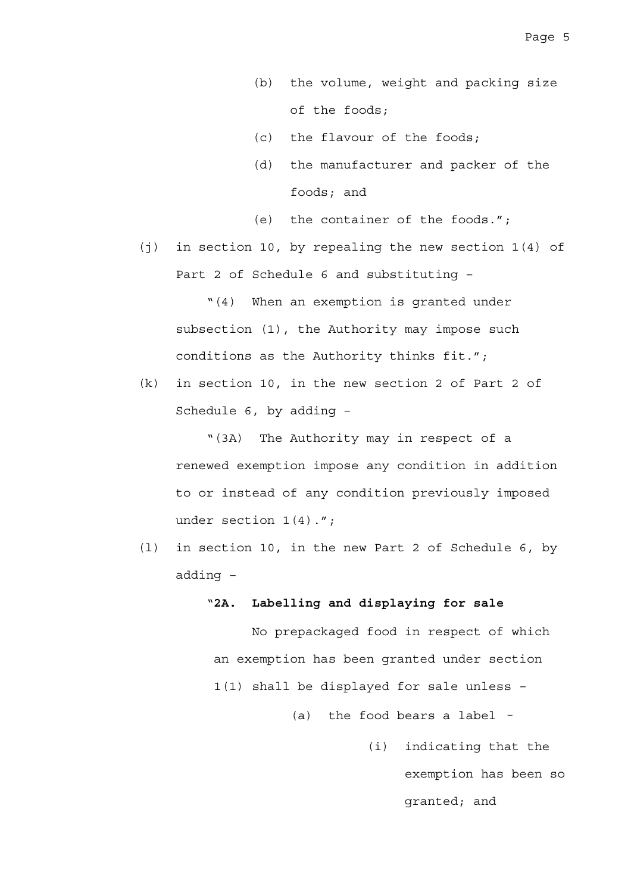- (b) the volume, weight and packing size of the foods;
- (c) the flavour of the foods;
- (d) the manufacturer and packer of the foods; and
- (e) the container of the foods.";
- (j) in section 10, by repealing the new section 1(4) of Part 2 of Schedule 6 and substituting –

"(4) When an exemption is granted under subsection (1), the Authority may impose such conditions as the Authority thinks fit.";

(k) in section 10, in the new section 2 of Part 2 of Schedule 6, by adding –

"(3A) The Authority may in respect of a renewed exemption impose any condition in addition to or instead of any condition previously imposed under section 1(4).";

(l) in section 10, in the new Part 2 of Schedule 6, by adding –

### "**2A. Labelling and displaying for sale**

No prepackaged food in respect of which an exemption has been granted under section 1(1) shall be displayed for sale unless –

(a) the food bears a label –

 (i) indicating that the exemption has been so granted; and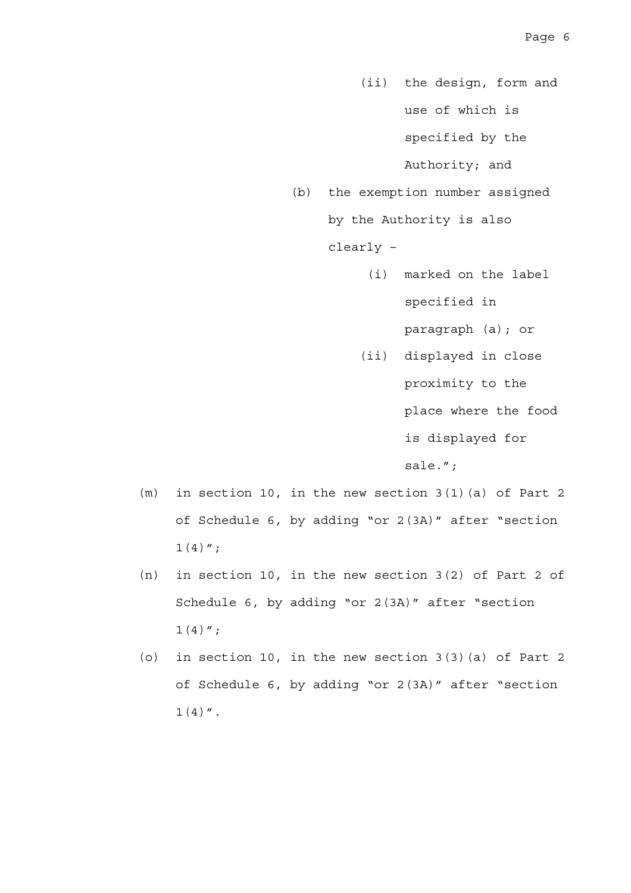- (ii) the design, form and use of which is specified by the Authority; and
- (b) the exemption number assigned by the Authority is also clearly –
	- (i) marked on the label specified in

paragraph (a); or

 (ii) displayed in close proximity to the

place where the food

is displayed for

sale.";

- (m) in section 10, in the new section 3(1)(a) of Part 2 of Schedule 6, by adding "or 2(3A)" after "section  $1(4)$ ";
- (n) in section 10, in the new section 3(2) of Part 2 of Schedule 6, by adding "or 2(3A)" after "section  $1(4)$ ";
- (o) in section 10, in the new section 3(3)(a) of Part 2 of Schedule 6, by adding "or 2(3A)" after "section  $1(4)$  ".